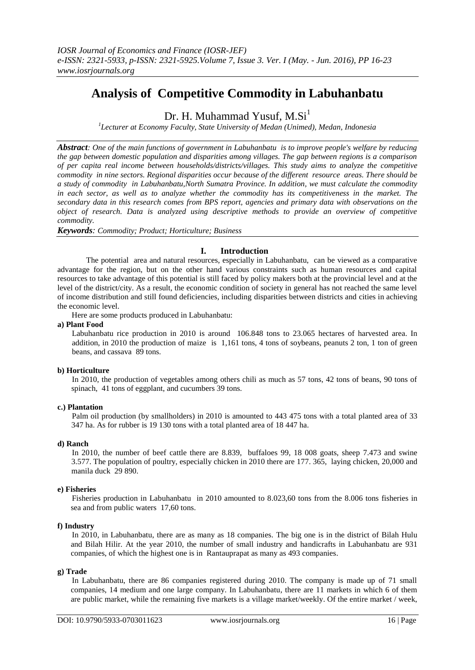# **Analysis of Competitive Commodity in Labuhanbatu**

Dr. H. Muhammad Yusuf,  $M.Si<sup>1</sup>$ 

*1 Lecturer at Economy Faculty, State University of Medan (Unimed), Medan, Indonesia*

*Abstract: One of the main functions of government in Labuhanbatu is to improve people's welfare by reducing the gap between domestic population and disparities among villages. The gap between regions is a comparison of per capita real income between households/districts/villages. This study aims to analyze the competitive commodity in nine sectors. Regional disparities occur because of the different resource areas. There should be a study of commodity in Labuhanbatu,North Sumatra Province. In addition, we must calculate the commodity in each sector, as well as to analyze whether the commodity has its competitiveness in the market. The secondary data in this research comes from BPS report, agencies and primary data with observations on the object of research. Data is analyzed using descriptive methods to provide an overview of competitive commodity.*

*Keywords: Commodity; Product; Horticulture; Business*

# **I. Introduction**

The potential area and natural resources, especially in Labuhanbatu, can be viewed as a comparative advantage for the region, but on the other hand various constraints such as human resources and capital resources to take advantage of this potential is still faced by policy makers both at the provincial level and at the level of the district/city. As a result, the economic condition of society in general has not reached the same level of income distribution and still found deficiencies, including disparities between districts and cities in achieving the economic level.

Here are some products produced in Labuhanbatu:

#### **a) Plant Food**

Labuhanbatu rice production in 2010 is around 106.848 tons to 23.065 hectares of harvested area. In addition, in 2010 the production of maize is 1,161 tons, 4 tons of soybeans, peanuts 2 ton, 1 ton of green beans, and cassava 89 tons.

# **b) Horticulture**

In 2010, the production of vegetables among others chili as much as 57 tons, 42 tons of beans, 90 tons of spinach, 41 tons of eggplant, and cucumbers 39 tons.

# **c.) Plantation**

Palm oil production (by smallholders) in 2010 is amounted to 443 475 tons with a total planted area of 33 347 ha. As for rubber is 19 130 tons with a total planted area of 18 447 ha.

#### **d) Ranch**

In 2010, the number of beef cattle there are 8.839, buffaloes 99, 18 008 goats, sheep 7.473 and swine 3.577. The population of poultry, especially chicken in 2010 there are 177. 365, laying chicken, 20,000 and manila duck 29 890.

# **e) Fisheries**

Fisheries production in Labuhanbatu in 2010 amounted to 8.023,60 tons from the 8.006 tons fisheries in sea and from public waters 17,60 tons.

#### **f) Industry**

In 2010, in Labuhanbatu, there are as many as 18 companies. The big one is in the district of Bilah Hulu and Bilah Hilir. At the year 2010, the number of small industry and handicrafts in Labuhanbatu are 931 companies, of which the highest one is in Rantauprapat as many as 493 companies.

# **g) Trade**

In Labuhanbatu, there are 86 companies registered during 2010. The company is made up of 71 small companies, 14 medium and one large company. In Labuhanbatu, there are 11 markets in which 6 of them are public market, while the remaining five markets is a village market/weekly. Of the entire market / week,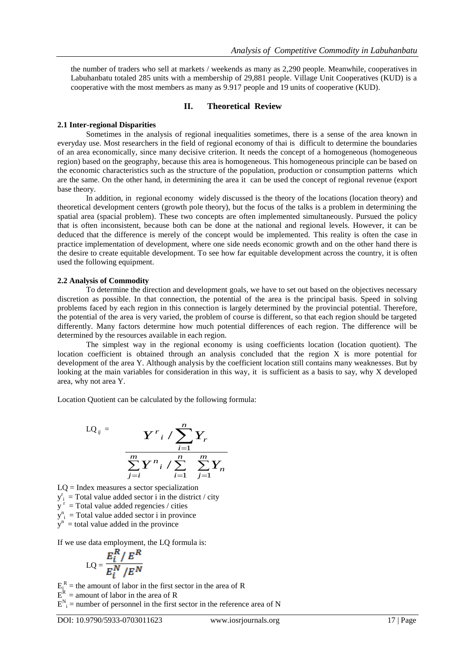the number of traders who sell at markets / weekends as many as 2,290 people. Meanwhile, cooperatives in Labuhanbatu totaled 285 units with a membership of 29,881 people. Village Unit Cooperatives (KUD) is a cooperative with the most members as many as 9.917 people and 19 units of cooperative (KUD).

# **II. Theoretical Review**

## **2.1 Inter-regional Disparities**

Sometimes in the analysis of regional inequalities sometimes, there is a sense of the area known in everyday use. Most researchers in the field of regional economy of thai is difficult to determine the boundaries of an area economically, since many decisive criterion. It needs the concept of a homogeneous (homogeneous region) based on the geography, because this area is homogeneous. This homogeneous principle can be based on the economic characteristics such as the structure of the population, production or consumption patterns which are the same. On the other hand, in determining the area it can be used the concept of regional revenue (export base theory.

In addition, in regional economy widely discussed is the theory of the locations (location theory) and theoretical development centers (growth pole theory), but the focus of the talks is a problem in determining the spatial area (spacial problem). These two concepts are often implemented simultaneously. Pursued the policy that is often inconsistent, because both can be done at the national and regional levels. However, it can be deduced that the difference is merely of the concept would be implemented. This reality is often the case in practice implementation of development, where one side needs economic growth and on the other hand there is the desire to create equitable development. To see how far equitable development across the country, it is often used the following equipment.

#### **2.2 Analysis of Commodity**

To determine the direction and development goals, we have to set out based on the objectives necessary discretion as possible. In that connection, the potential of the area is the principal basis. Speed in solving problems faced by each region in this connection is largely determined by the provincial potential. Therefore, the potential of the area is very varied, the problem of course is different, so that each region should be targeted differently. Many factors determine how much potential differences of each region. The difference will be determined by the resources available in each region.

The simplest way in the regional economy is using coefficients location (location quotient). The location coefficient is obtained through an analysis concluded that the region X is more potential for development of the area Y. Although analysis by the coefficient location still contains many weaknesses. But by looking at the main variables for consideration in this way, it is sufficient as a basis to say, why X developed area, why not area Y.

Location Quotient can be calculated by the following formula:

$$
LQ_{ij} = \frac{Y^{r}i / \sum_{i=1}^{n} Y_r}{\sum_{j=i}^{m} Y^{n}i / \sum_{i=1}^{n} \sum_{j=1}^{m} Y_n}
$$

 $LQ = Index$  measures a sector specialization  $y_i^r$  = Total value added sector i in the district / city  $y<sup>r</sup>$  = Total value added regencies / cities  $y_{i}^{n}$  = Total value added sector i in province  $y<sup>n</sup>$  = total value added in the province

If we use data employment, the LQ formula is:

$$
LQ = \frac{E_i^R / E^R}{E_i^N / E^N}
$$

 $E_i^R$  = the amount of labor in the first sector in the area of R

 $E<sup>R</sup>$  = amount of labor in the area of R

 $E_{i}^{N}$  = number of personnel in the first sector in the reference area of N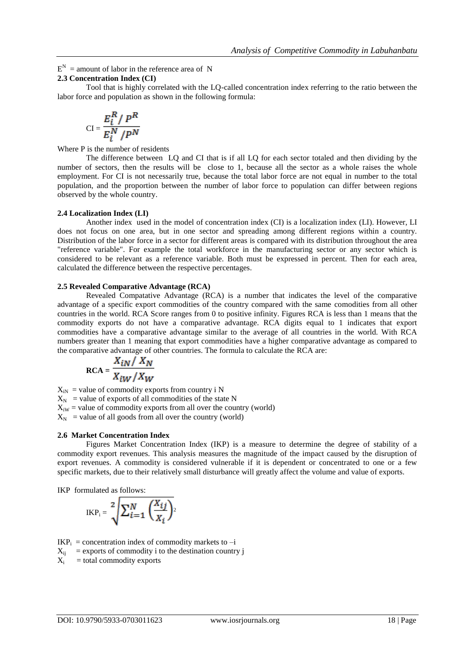$E^N$  = amount of labor in the reference area of N

# **2.3 Concentration Index (CI)**

Tool that is highly correlated with the LQ-called concentration index referring to the ratio between the labor force and population as shown in the following formula:

$$
CI = \frac{E_i^R / P^R}{E_i^N / P^N}
$$

Where P is the number of residents

The difference between LQ and CI that is if all LQ for each sector totaled and then dividing by the number of sectors, then the results will be close to 1, because all the sector as a whole raises the whole employment. For CI is not necessarily true, because the total labor force are not equal in number to the total population, and the proportion between the number of labor force to population can differ between regions observed by the whole country.

#### **2.4 Localization Index (LI)**

Another index used in the model of concentration index (CI) is a localization index (LI). However, LI does not focus on one area, but in one sector and spreading among different regions within a country. Distribution of the labor force in a sector for different areas is compared with its distribution throughout the area "reference variable". For example the total workforce in the manufacturing sector or any sector which is considered to be relevant as a reference variable. Both must be expressed in percent. Then for each area, calculated the difference between the respective percentages.

# **2.5 Revealed Comparative Advantage (RCA)**

Revealed Compatative Advantage (RCA) is a number that indicates the level of the comparative advantage of a specific export commodities of the country compared with the same comodities from all other countries in the world. RCA Score ranges from 0 to positive infinity. Figures RCA is less than 1 means that the commodity exports do not have a comparative advantage. RCA digits equal to 1 indicates that export commodities have a comparative advantage similar to the average of all countries in the world. With RCA numbers greater than 1 meaning that export commodities have a higher comparative advantage as compared to the comparative advantage of other countries. The formula to calculate the RCA are:

$$
RCA = \frac{X_{iN} / X_N}{X_{iW} / X_W}
$$

 $X_{iN}$  = value of commodity exports from country i N  $X_N$  = value of exports of all commodities of the state N  $X_{iW}$  = value of commodity exports from all over the country (world)  $X_N$  = value of all goods from all over the country (world)

#### **2.6 Market Concentration Index**

Figures Market Concentration Index (IKP) is a measure to determine the degree of stability of a commodity export revenues. This analysis measures the magnitude of the impact caused by the disruption of export revenues. A commodity is considered vulnerable if it is dependent or concentrated to one or a few specific markets, due to their relatively small disturbance will greatly affect the volume and value of exports.

IKP formulated as follows:

$$
IKP_i = \sqrt[2]{\sum_{i=1}^{N} \left( \frac{X_{ij}}{X_i} \right)^2}
$$

 $IKP_i$  = concentration index of commodity markets to  $-i$ 

- $X_{ii}$  = exports of commodity i to the destination country j
- $X_i$ = total commodity exports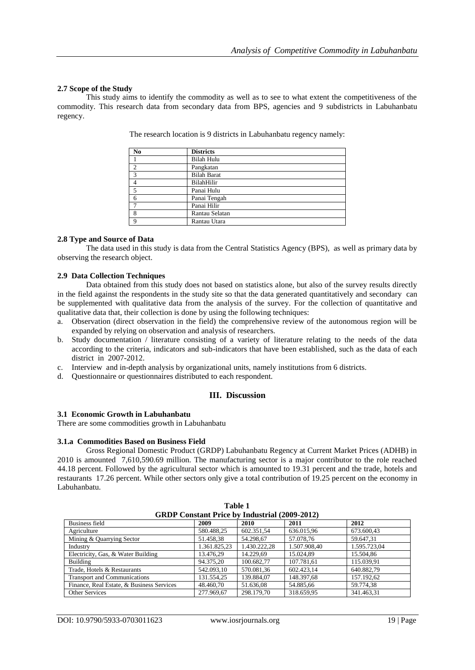## **2.7 Scope of the Study**

This study aims to identify the commodity as well as to see to what extent the competitiveness of the commodity. This research data from secondary data from BPS, agencies and 9 subdistricts in Labuhanbatu regency.

| N <sub>0</sub> | <b>Districts</b>   |
|----------------|--------------------|
|                | <b>Bilah Hulu</b>  |
| $\overline{2}$ | Pangkatan          |
| $\mathcal{R}$  | <b>Bilah Barat</b> |
|                | BilahHilir         |
| 5              | Panai Hulu         |
| 6              | Panai Tengah       |
|                | Panai Hilir        |
| 8              | Rantau Selatan     |
| a              | Rantau Utara       |

The research location is 9 districts in Labuhanbatu regency namely:

#### **2.8 Type and Source of Data**

The data used in this study is data from the Central Statistics Agency (BPS), as well as primary data by observing the research object.

#### **2.9 Data Collection Techniques**

Data obtained from this study does not based on statistics alone, but also of the survey results directly in the field against the respondents in the study site so that the data generated quantitatively and secondary can be supplemented with qualitative data from the analysis of the survey. For the collection of quantitative and qualitative data that, their collection is done by using the following techniques:

- a. Observation (direct observation in the field) the comprehensive review of the autonomous region will be expanded by relying on observation and analysis of researchers.
- b. Study documentation / literature consisting of a variety of literature relating to the needs of the data according to the criteria, indicators and sub-indicators that have been established, such as the data of each district in 2007-2012.
- c. Interview and in-depth analysis by organizational units, namely institutions from 6 districts.
- d. Questionnaire or questionnaires distributed to each respondent.

# **III. Discussion**

# **3.1 Economic Growth in Labuhanbatu**

There are some commodities growth in Labuhanbatu

#### **3.1.a Commodities Based on Business Field**

Gross Regional Domestic Product (GRDP) Labuhanbatu Regency at Current Market Prices (ADHB) in 2010 is amounted 7,610,590.69 million. The manufacturing sector is a major contributor to the role reached 44.18 percent. Followed by the agricultural sector which is amounted to 19.31 percent and the trade, hotels and restaurants 17.26 percent. While other sectors only give a total contribution of 19.25 percent on the economy in Labuhanbatu.

| <b>GRDP Constant Price by Industrial (2009-2012)</b> |              |              |              |              |  |  |  |  |
|------------------------------------------------------|--------------|--------------|--------------|--------------|--|--|--|--|
| Business field                                       | 2009         | 2010         | 2011         | 2012         |  |  |  |  |
| Agriculture                                          | 580.488,25   | 602.351.54   | 636.015,96   | 673.600,43   |  |  |  |  |
| Mining & Quarrying Sector                            | 51.458,38    | 54.298.67    | 57.078.76    | 59.647,31    |  |  |  |  |
| Industry                                             | 1.361.825,23 | 1.430.222.28 | 1.507.908,40 | 1.595.723.04 |  |  |  |  |
| Electricity, Gas, & Water Building                   | 13.476,29    | 14.229.69    | 15.024,89    | 15.504,86    |  |  |  |  |
| Building                                             | 94.375.20    | 100.682.77   | 107.781.61   | 115.039.91   |  |  |  |  |
| Trade, Hotels & Restaurants                          | 542.093,10   | 570.081.36   | 602.423.14   | 640.882,79   |  |  |  |  |
| <b>Transport and Communications</b>                  | 131.554.25   | 139.884.07   | 148.397.68   | 157.192.62   |  |  |  |  |
| Finance, Real Estate, & Business Services            | 48.460.70    | 51.636.08    | 54.885.66    | 59.774.38    |  |  |  |  |
| <b>Other Services</b>                                | 277.969.67   | 298.179.70   | 318.659.95   | 341.463.31   |  |  |  |  |

**Table 1**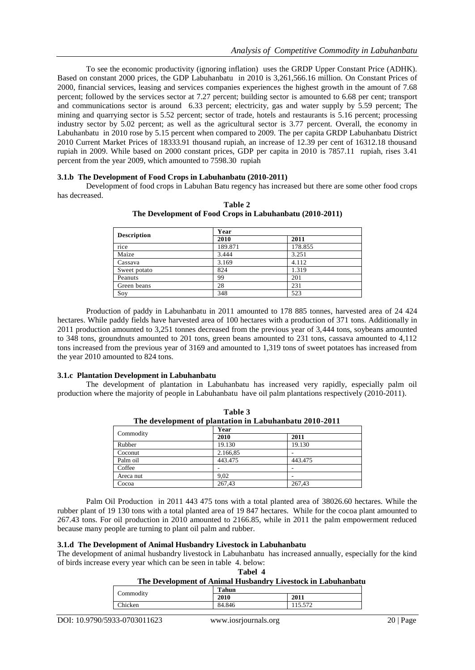To see the economic productivity (ignoring inflation) uses the GRDP Upper Constant Price (ADHK). Based on constant 2000 prices, the GDP Labuhanbatu in 2010 is 3,261,566.16 million. On Constant Prices of 2000, financial services, leasing and services companies experiences the highest growth in the amount of 7.68 percent; followed by the services sector at 7.27 percent; building sector is amounted to 6.68 per cent; transport and communications sector is around 6.33 percent; electricity, gas and water supply by 5.59 percent; The mining and quarrying sector is 5.52 percent; sector of trade, hotels and restaurants is 5.16 percent; processing industry sector by 5.02 percent; as well as the agricultural sector is 3.77 percent. Overall, the economy in Labuhanbatu in 2010 rose by 5.15 percent when compared to 2009. The per capita GRDP Labuhanbatu District 2010 Current Market Prices of 18333.91 thousand rupiah, an increase of 12.39 per cent of 16312.18 thousand rupiah in 2009. While based on 2000 constant prices, GDP per capita in 2010 is 7857.11 rupiah, rises 3.41 percent from the year 2009, which amounted to 7598.30 rupiah

#### **3.1.b The Development of Food Crops in Labuhanbatu (2010-2011)**

Development of food crops in Labuhan Batu regency has increased but there are some other food crops has decreased.

| <b>Description</b> | Year    |         |  |  |  |
|--------------------|---------|---------|--|--|--|
|                    | 2010    | 2011    |  |  |  |
| rice               | 189.871 | 178.855 |  |  |  |
| Maize              | 3.444   | 3.251   |  |  |  |
| Cassava            | 3.169   | 4.112   |  |  |  |
| Sweet potato       | 824     | 1.319   |  |  |  |
| Peanuts            | 99      | 201     |  |  |  |
| Green beans        | 28      | 231     |  |  |  |
| Soy                | 348     | 523     |  |  |  |

**Table 2 The Development of Food Crops in Labuhanbatu (2010-2011)**

Production of paddy in Labuhanbatu in 2011 amounted to 178 885 tonnes, harvested area of 24 424 hectares. While paddy fields have harvested area of 100 hectares with a production of 371 tons. Additionally in 2011 production amounted to 3,251 tonnes decreased from the previous year of 3,444 tons, soybeans amounted to 348 tons, groundnuts amounted to 201 tons, green beans amounted to 231 tons, cassava amounted to 4,112 tons increased from the previous year of 3169 and amounted to 1,319 tons of sweet potatoes has increased from the year 2010 amounted to 824 tons.

#### **3.1.c Plantation Development in Labuhanbatu**

The development of plantation in Labuhanbatu has increased very rapidly, especially palm oil production where the majority of people in Labuhanbatu have oil palm plantations respectively (2010-2011).

| Table 3                                                |          |         |  |  |  |  |  |
|--------------------------------------------------------|----------|---------|--|--|--|--|--|
| The development of plantation in Labuhanbatu 2010-2011 |          |         |  |  |  |  |  |
| Commodity                                              | Year     |         |  |  |  |  |  |
|                                                        | 2010     | 2011    |  |  |  |  |  |
| Rubber                                                 | 19.130   | 19.130  |  |  |  |  |  |
| Coconut                                                | 2.166,85 |         |  |  |  |  |  |
| Palm oil                                               | 443.475  | 443.475 |  |  |  |  |  |
| Coffee                                                 |          |         |  |  |  |  |  |
| Areca nut                                              | 9.02     |         |  |  |  |  |  |
| Cocoa                                                  | 267,43   | 267,43  |  |  |  |  |  |

Palm Oil Production in 2011 443 475 tons with a total planted area of 38026.60 hectares. While the rubber plant of 19 130 tons with a total planted area of 19 847 hectares. While for the cocoa plant amounted to 267.43 tons. For oil production in 2010 amounted to 2166.85, while in 2011 the palm empowerment reduced because many people are turning to plant oil palm and rubber.

## **3.1.d The Development of Animal Husbandry Livestock in Labuhanbatu**

The development of animal husbandry livestock in Labuhanbatu has increased annually, especially for the kind of birds increase every year which can be seen in table 4. below:

**Tabel 4**

# **The Development of Animal Husbandry Livestock in Labuhanbatu**

| Commodity      | Tahun  |                    |
|----------------|--------|--------------------|
|                | 2010   | 2011               |
| <b>Thicken</b> | 84.846 | 15.572<br>11.7.712 |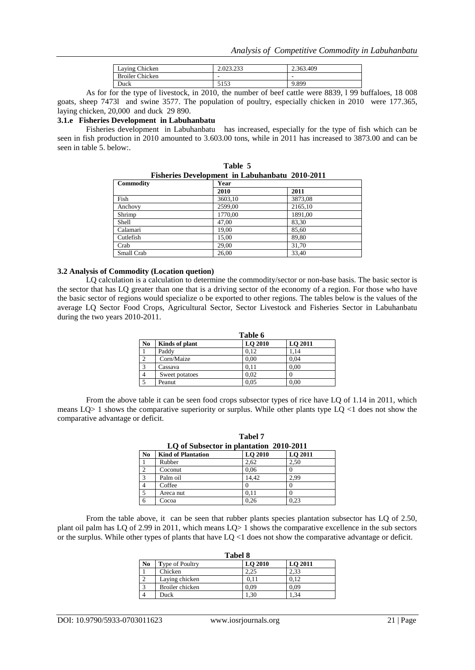| Laying Chicken         | 2.023.233       | 2.363.409 |
|------------------------|-----------------|-----------|
| <b>Broiler Chicken</b> |                 |           |
| Duck                   | 5152<br>ن و 1 و | 9.899     |

As for for the type of livestock, in 2010, the number of beef cattle were 8839, l 99 buffaloes, 18 008 goats, sheep 7473l and swine 3577. The population of poultry, especially chicken in 2010 were 177.365, laying chicken, 20,000 and duck 29 890.

# **3.1.e Fisheries Development in Labuhanbatu**

Fisheries development in Labuhanbatuhas increased, especially for the type of fish which can be seen in fish production in 2010 amounted to 3.603.00 tons, while in 2011 has increased to 3873.00 and can be seen in table 5. below:.

| Fisheries Development in Labuhanbatu 2010-2011 |         |         |  |  |  |  |  |  |
|------------------------------------------------|---------|---------|--|--|--|--|--|--|
| <b>Commodity</b>                               | Year    |         |  |  |  |  |  |  |
|                                                | 2010    | 2011    |  |  |  |  |  |  |
| Fish                                           | 3603,10 | 3873,08 |  |  |  |  |  |  |
| Anchovy                                        | 2599,00 | 2165,10 |  |  |  |  |  |  |
| Shrimp                                         | 1770,00 | 1891,00 |  |  |  |  |  |  |
| Shell                                          | 47.00   | 83,30   |  |  |  |  |  |  |
| Calamari                                       | 19,00   | 85,60   |  |  |  |  |  |  |
| Cutlefish                                      | 15,00   | 89,80   |  |  |  |  |  |  |
| Crab                                           | 29,00   | 31,70   |  |  |  |  |  |  |
| Small Crab                                     | 26,00   | 33,40   |  |  |  |  |  |  |

**Table 5**

#### **3.2 Analysis of Commodity (Location quetion)**

LQ calculation is a calculation to determine the commodity/sector or non-base basis. The basic sector is the sector that has LQ greater than one that is a driving sector of the economy of a region. For those who have the basic sector of regions would specialize o be exported to other regions. The tables below is the values of the average LQ Sector Food Crops, Agricultural Sector, Sector Livestock and Fisheries Sector in Labuhanbatu during the two years 2010-2011.

| Table 6        |                |         |         |  |  |  |  |  |
|----------------|----------------|---------|---------|--|--|--|--|--|
| N <sub>0</sub> | Kinds of plant | LO 2010 | LO 2011 |  |  |  |  |  |
|                | Paddy          | 0.12    | 1.14    |  |  |  |  |  |
| $\gamma$       | Corn/Maize     | 0,00    | 0.04    |  |  |  |  |  |
| $\mathbf{a}$   | Cassava        | 0.11    | 0.00    |  |  |  |  |  |
|                | Sweet potatoes | 0.02    |         |  |  |  |  |  |
|                | Peanut         | 0.05    | 0.00    |  |  |  |  |  |

From the above table it can be seen food crops subsector types of rice have LQ of 1.14 in 2011, which means  $LQ>1$  shows the comparative superiority or surplus. While other plants type  $LQ < 1$  does not show the comparative advantage or deficit.

**Tabel 7**

|                | Tabel 7                                 |         |         |  |  |  |  |  |  |  |
|----------------|-----------------------------------------|---------|---------|--|--|--|--|--|--|--|
|                | LQ of Subsector in plantation 2010-2011 |         |         |  |  |  |  |  |  |  |
| N <sub>0</sub> | <b>Kind of Plantation</b>               | LO 2010 | LO 2011 |  |  |  |  |  |  |  |
| 1              | Rubber                                  | 2.62    | 2.50    |  |  |  |  |  |  |  |
| $\overline{2}$ | Coconut                                 | 0.06    |         |  |  |  |  |  |  |  |
| 3              | Palm oil                                | 14.42   | 2.99    |  |  |  |  |  |  |  |
| $\overline{4}$ | Coffee                                  |         |         |  |  |  |  |  |  |  |
| $\overline{5}$ | Areca nut                               | 0.11    |         |  |  |  |  |  |  |  |
| 6              | Cocoa                                   | 0.26    | 0,23    |  |  |  |  |  |  |  |

From the table above, it can be seen that rubber plants species plantation subsector has LQ of 2.50, plant oil palm has LQ of 2.99 in 2011, which means LQ> 1 shows the comparative excellence in the sub sectors or the surplus. While other types of plants that have LQ <1 does not show the comparative advantage or deficit.

|                   | <b>Tabel 8</b>         |         |         |  |  |  |  |  |  |
|-------------------|------------------------|---------|---------|--|--|--|--|--|--|
| N <sub>0</sub>    | <b>Type of Poultry</b> | LO 2010 | LO 2011 |  |  |  |  |  |  |
|                   | Chicken                | 2.25    | 2.33    |  |  |  |  |  |  |
| ↑                 | Laying chicken         | 0.11    | 0.12    |  |  |  |  |  |  |
| $\mathbf{\Omega}$ | Broiler chicken        | 0,09    | 0.09    |  |  |  |  |  |  |
|                   | Duck                   | 1.30    | .34     |  |  |  |  |  |  |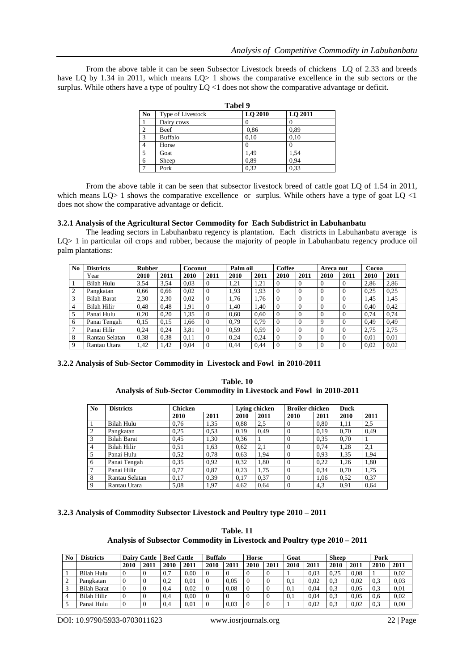From the above table it can be seen Subsector Livestock breeds of chickens LQ of 2.33 and breeds have LQ by 1.34 in 2011, which means LQ> 1 shows the comparative excellence in the sub sectors or the surplus. While others have a type of poultry  $LQ \leq 1$  does not show the comparative advantage or deficit.

|                | 1 avel 7          |         |         |  |  |  |  |  |  |
|----------------|-------------------|---------|---------|--|--|--|--|--|--|
| N <sub>0</sub> | Type of Livestock | LO 2010 | LQ 2011 |  |  |  |  |  |  |
|                | Dairy cows        |         | O       |  |  |  |  |  |  |
| $\overline{2}$ | Beef              | 0,86    | 0,89    |  |  |  |  |  |  |
| 3              | <b>Buffalo</b>    | 0.10    | 0.10    |  |  |  |  |  |  |
|                | Horse             |         |         |  |  |  |  |  |  |
| 5              | Goat              | 1,49    | 1,54    |  |  |  |  |  |  |
| 6              | Sheep             | 0,89    | 0,94    |  |  |  |  |  |  |
|                | Pork              | 0,32    | 0,33    |  |  |  |  |  |  |

**Tabel 9**

From the above table it can be seen that subsector livestock breed of cattle goat LQ of 1.54 in 2011, which means LQ> 1 shows the comparative excellence or surplus. While others have a type of goat LQ <1 does not show the comparative advantage or deficit.

## **3.2.1 Analysis of the Agricultural Sector Commodity for Each Subdistrict in Labuhanbatu**

The leading sectors in Labuhanbatu regency is plantation. Each districts in Labuhanbatu average is LQ> 1 in particular oil crops and rubber, because the majority of people in Labuhanbatu regency produce oil palm plantations:

| N <sub>0</sub>  | <b>Districts</b>   | <b>Rubber</b> |      | Coconut |          | Palm oil |      | Coffee         |          | Areca nut |              | Cocoa |      |
|-----------------|--------------------|---------------|------|---------|----------|----------|------|----------------|----------|-----------|--------------|-------|------|
|                 | Year               | 2010          | 2011 | 2010    | 2011     | 2010     | 2011 | 2010           | 2011     | 2010      | 2011         | 2010  | 2011 |
| $\overline{1}$  | Bilah Hulu         | 3,54          | 3.54 | 0.03    | $\Omega$ | 1,21     | 1,21 | $\Omega$       | $\Omega$ | 0         | 0            | 2.86  | 2,86 |
| 2               | Pangkatan          | 0,66          | 0.66 | 0.02    | $\Omega$ | 1,93     | 1,93 | $\Omega$       | $\Omega$ | $\Omega$  | O            | 0.25  | 0,25 |
| 3               | <b>Bilah Barat</b> | 2,30          | 2.30 | 0.02    | $\theta$ | 1.76     | 1.76 | $\Omega$       | $\Omega$ | $\theta$  | 0            | 1.45  | 1.45 |
| $\overline{4}$  | Bilah Hilir        | 0.48          | 0.48 | 1,91    | $\Omega$ | 1.40     | 1,40 | $\Omega$       | $\theta$ | $\Omega$  | 0            | 0.40  | 0,42 |
| 5               | Panai Hulu         | 0.20          | 0.20 | 1.35    | $\Omega$ | 0.60     | 0.60 | $\theta$       | $\theta$ | $\theta$  | $\Omega$     | 0.74  | 0,74 |
| 6               | Panai Tengah       | 0,15          | 0.15 | 1.66    | $\Omega$ | 0.79     | 0.79 | $\Omega$       | $\Omega$ | 9         | $\Omega$     | 0.49  | 0,49 |
| $7\phantom{.0}$ | Panai Hilir        | 0.24          | 0.24 | 3,81    | $\Omega$ | 0.59     | 0.59 | $\Omega$       | $\Omega$ | $\Omega$  | 0            | 2.75  | 2,75 |
| 8               | Rantau Selatan     | 0.38          | 0.38 | 0.11    | $\Omega$ | 0,24     | 0,24 | $\theta$       | $\theta$ | $\Omega$  | $\mathbf{0}$ | 0.01  | 0,01 |
| 9               | Rantau Utara       | 1.42          | 1.42 | 0,04    | $\Omega$ | 0.44     | 0,44 | $\overline{0}$ | $\Omega$ | $\theta$  |              | 0.02  | 0,02 |

**3.2.2 Analysis of Sub-Sector Commodity in Livestock and Fowl in 2010-2011**

# **Table. 10 Analysis of Sub-Sector Commodity in Livestock and Fowl in 2010-2011**

| No             | <b>Districts</b>   | <b>Chicken</b> |      |      | Lying chicken | <b>Broiler chicken</b> |      | <b>Duck</b> |      |  |
|----------------|--------------------|----------------|------|------|---------------|------------------------|------|-------------|------|--|
|                |                    | 2010           | 2011 | 2010 | 2011          | 2010                   | 2011 | 2010        | 2011 |  |
|                | Bilah Hulu         | 0,76           | 1,35 | 0,88 | 2,5           | $\Omega$               | 0.80 | 1,11        | 2,5  |  |
| $\overline{2}$ | Pangkatan          | 0.25           | 0.53 | 0.19 | 0.49          | $\Omega$               | 0.19 | 0.70        | 0.49 |  |
| 3              | <b>Bilah Barat</b> | 0.45           | 1,30 | 0.36 |               | $\theta$               | 0.35 | 0.70        |      |  |
| 4              | <b>Bilah Hilir</b> | 0.51           | 1.63 | 0.62 | 2,1           | $\theta$               | 0.74 | 1.28        | 2,1  |  |
| 5              | Panai Hulu         | 0.52           | 0.78 | 0.63 | 1.94          | $\theta$               | 0.93 | 1.35        | 1,94 |  |
| 6              | Panai Tengah       | 0.35           | 0,92 | 0.32 | 1.80          | $\theta$               | 0.22 | 1.26        | 1,80 |  |
| 7              | Panai Hilir        | 0.77           | 0.87 | 0,23 | 1.75          | $\Omega$               | 0,34 | 0,70        | 1,75 |  |
| 8              | Rantau Selatan     | 0.17           | 0.39 | 0.17 | 0.37          | $\Omega$               | 1.06 | 0.52        | 0,37 |  |
| $\mathbf{Q}$   | Rantau Utara       | 5,08           | 1,97 | 4.62 | 0.64          | $\Omega$               | 4,3  | 0.91        | 0.64 |  |

# **3.2.3 Analysis of Commodity Subsector Livestock and Poultry type 2010 – 2011**

| Table. 11                                                                 |  |
|---------------------------------------------------------------------------|--|
| Analysis of Subsector Commodity in Livestock and Poultry type 2010 – 2011 |  |

| N <sub>0</sub> | <b>Districts</b>   | Cattle<br>Dairy |      | <b>Beef Cattle</b> |      | <b>Buffalo</b> |      | Horse |     | Goat |      | <b>Sheep</b> |      | Pork |      |
|----------------|--------------------|-----------------|------|--------------------|------|----------------|------|-------|-----|------|------|--------------|------|------|------|
|                |                    | 2010            | 2011 | 2010               | 2011 | 2010           | 2011 | 2010  | 201 | 2010 | 2011 | 2010         | 2011 | 2010 | 2011 |
|                | Bilah Hulu         |                 |      | 0.7                | 0.00 | 0              |      |       |     |      | 0.03 | 0.25         | 0.08 |      | 0.02 |
|                | Pangkatan          |                 |      | 0.2                | 0.01 |                | 0.05 |       |     | 0.1  | 0.02 | 0.3          | 0.02 | 0.3  | 0.03 |
|                | <b>Bilah Barat</b> |                 |      | 0.4                | 0.02 | $\Omega$       | 0.08 |       |     | 0.1  | 0.04 | 0.3          | 0.05 | 0.3  | 0.01 |
|                | Bilah Hilir        |                 |      | 0.4                | 0.00 |                |      |       |     | 0.1  | 0.04 | 0.3          | 0.05 | 0.6  | 0.02 |
|                | Panai Hulu         |                 |      | 0.4                | 0.01 |                | 0.03 |       |     |      | 0.02 | 0.3          | 0.02 | 0.3  | 0.00 |